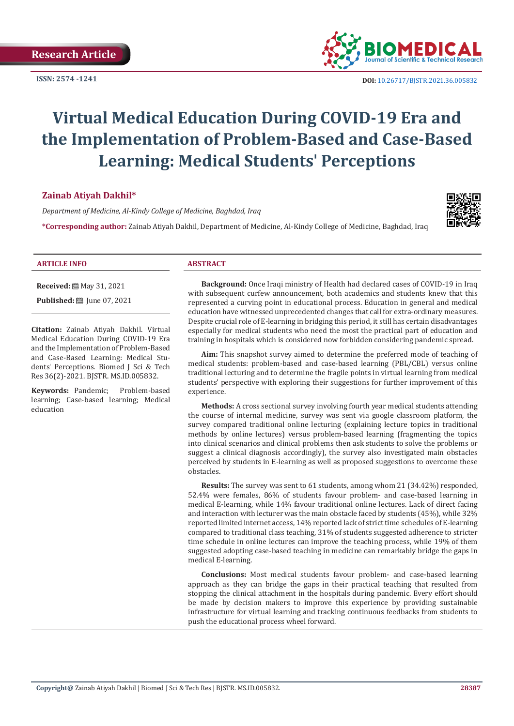**ISSN: 2574 -1241**



# **Virtual Medical Education During COVID-19 Era and the Implementation of Problem-Based and Case-Based Learning: Medical Studentsˈ Perceptions**

# **Zainab Atiyah Dakhil\***

*Department of Medicine, Al-Kindy College of Medicine, Baghdad, Iraq*

**\*Corresponding author:** Zainab Atiyah Dakhil, Department of Medicine, Al-Kindy College of Medicine, Baghdad, Iraq



#### **ARTICLE INFO ABSTRACT**

**Received:** 圖 May 31, 2021

**Published:** [201] June 07, 2021

**Citation:** Zainab Atiyah Dakhil. Virtual Medical Education During COVID-19 Era and the Implementation of Problem-Based and Case-Based Learning: Medical Studentsˈ Perceptions. Biomed J Sci & Tech Res 36(2)-2021. BJSTR. MS.ID.005832.

**Keywords:** Pandemic; Problem-based learning; Case-based learning; Medical education

**Background:** Once Iraqi ministry of Health had declared cases of COVID-19 in Iraq with subsequent curfew announcement, both academics and students knew that this represented a curving point in educational process. Education in general and medical education have witnessed unprecedented changes that call for extra-ordinary measures. Despite crucial role of E-learning in bridging this period, it still has certain disadvantages especially for medical students who need the most the practical part of education and training in hospitals which is considered now forbidden considering pandemic spread.

**Aim:** This snapshot survey aimed to determine the preferred mode of teaching of medical students: problem-based and case-based learning (PBL/CBL) versus online traditional lecturing and to determine the fragile points in virtual learning from medical students' perspective with exploring their suggestions for further improvement of this experience.

**Methods:** A cross sectional survey involving fourth year medical students attending the course of internal medicine, survey was sent via google classroom platform, the survey compared traditional online lecturing (explaining lecture topics in traditional methods by online lectures) versus problem-based learning (fragmenting the topics into clinical scenarios and clinical problems then ask students to solve the problems or suggest a clinical diagnosis accordingly), the survey also investigated main obstacles perceived by students in E-learning as well as proposed suggestions to overcome these obstacles.

**Results:** The survey was sent to 61 students, among whom 21 (34.42%) responded, 52.4% were females, 86% of students favour problem- and case-based learning in medical E-learning, while 14% favour traditional online lectures. Lack of direct facing and interaction with lecturer was the main obstacle faced by students (45%), while 32% reported limited internet access, 14% reported lack of strict time schedules of E-learning compared to traditional class teaching, 31% of students suggested adherence to stricter time schedule in online lectures can improve the teaching process, while 19% of them suggested adopting case-based teaching in medicine can remarkably bridge the gaps in medical E-learning.

**Conclusions:** Most medical students favour problem- and case-based learning approach as they can bridge the gaps in their practical teaching that resulted from stopping the clinical attachment in the hospitals during pandemic. Every effort should be made by decision makers to improve this experience by providing sustainable infrastructure for virtual learning and tracking continuous feedbacks from students to push the educational process wheel forward.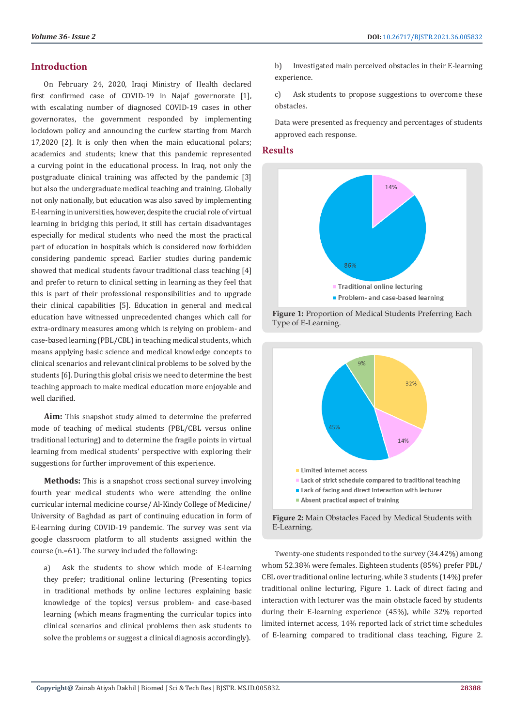# **Introduction**

On February 24, 2020, Iraqi Ministry of Health declared first confirmed case of COVID-19 in Najaf governorate [1], with escalating number of diagnosed COVID-19 cases in other governorates, the government responded by implementing lockdown policy and announcing the curfew starting from March 17,2020 [2]. It is only then when the main educational polars; academics and students; knew that this pandemic represented a curving point in the educational process. In Iraq, not only the postgraduate clinical training was affected by the pandemic [3] but also the undergraduate medical teaching and training. Globally not only nationally, but education was also saved by implementing E-learning in universities, however, despite the crucial role of virtual learning in bridging this period, it still has certain disadvantages especially for medical students who need the most the practical part of education in hospitals which is considered now forbidden considering pandemic spread. Earlier studies during pandemic showed that medical students favour traditional class teaching [4] and prefer to return to clinical setting in learning as they feel that this is part of their professional responsibilities and to upgrade their clinical capabilities [5]. Education in general and medical education have witnessed unprecedented changes which call for extra-ordinary measures among which is relying on problem- and case-based learning (PBL/CBL) in teaching medical students, which means applying basic science and medical knowledge concepts to clinical scenarios and relevant clinical problems to be solved by the students [6]. During this global crisis we need to determine the best teaching approach to make medical education more enjoyable and well clarified.

**Aim:** This snapshot study aimed to determine the preferred mode of teaching of medical students (PBL/CBL versus online traditional lecturing) and to determine the fragile points in virtual learning from medical students' perspective with exploring their suggestions for further improvement of this experience.

**Methods:** This is a snapshot cross sectional survey involving fourth year medical students who were attending the online curricular internal medicine course/ Al-Kindy College of Medicine/ University of Baghdad as part of continuing education in form of E-learning during COVID-19 pandemic. The survey was sent via google classroom platform to all students assigned within the course (n.=61). The survey included the following:

a) Ask the students to show which mode of E-learning they prefer; traditional online lecturing (Presenting topics in traditional methods by online lectures explaining basic knowledge of the topics) versus problem- and case-based learning (which means fragmenting the curricular topics into clinical scenarios and clinical problems then ask students to solve the problems or suggest a clinical diagnosis accordingly).

b) Investigated main perceived obstacles in their E-learning experience.

c) Ask students to propose suggestions to overcome these obstacles.

Data were presented as frequency and percentages of students approved each response.

#### **Results**



**Figure 1:** Proportion of Medical Students Preferring Each Type of E-Learning.



**Figure 2:** Main Obstacles Faced by Medical Students with E-Learning.

Twenty-one students responded to the survey (34.42%) among whom 52.38% were females. Eighteen students (85%) prefer PBL/ CBL over traditional online lecturing, while 3 students (14%) prefer traditional online lecturing, Figure 1. Lack of direct facing and interaction with lecturer was the main obstacle faced by students during their E-learning experience (45%), while 32% reported limited internet access, 14% reported lack of strict time schedules of E-learning compared to traditional class teaching, Figure 2.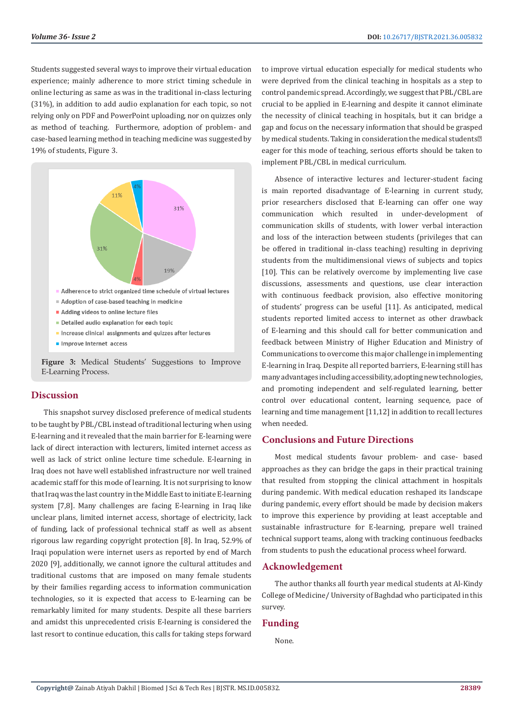Students suggested several ways to improve their virtual education experience; mainly adherence to more strict timing schedule in online lecturing as same as was in the traditional in-class lecturing (31%), in addition to add audio explanation for each topic, so not relying only on PDF and PowerPoint uploading, nor on quizzes only as method of teaching. Furthermore, adoption of problem- and case-based learning method in teaching medicine was suggested by 19% of students, Figure 3.





#### **Discussion**

This snapshot survey disclosed preference of medical students to be taught by PBL/CBL instead of traditional lecturing when using E-learning and it revealed that the main barrier for E-learning were lack of direct interaction with lecturers, limited internet access as well as lack of strict online lecture time schedule. E-learning in Iraq does not have well established infrastructure nor well trained academic staff for this mode of learning. It is not surprising to know that Iraq was the last country in the Middle East to initiate E-learning system [7,8]. Many challenges are facing E-learning in Iraq like unclear plans, limited internet access, shortage of electricity, lack of funding, lack of professional technical staff as well as absent rigorous law regarding copyright protection [8]. In Iraq, 52.9% of Iraqi population were internet users as reported by end of March 2020 [9], additionally, we cannot ignore the cultural attitudes and traditional customs that are imposed on many female students by their families regarding access to information communication technologies, so it is expected that access to E-learning can be remarkably limited for many students. Despite all these barriers and amidst this unprecedented crisis E-learning is considered the last resort to continue education, this calls for taking steps forward

to improve virtual education especially for medical students who were deprived from the clinical teaching in hospitals as a step to control pandemic spread. Accordingly, we suggest that PBL/CBL are crucial to be applied in E-learning and despite it cannot eliminate the necessity of clinical teaching in hospitals, but it can bridge a gap and focus on the necessary information that should be grasped by medical students. Taking in consideration the medical students $\mathbb D$ eager for this mode of teaching, serious efforts should be taken to implement PBL/CBL in medical curriculum.

Absence of interactive lectures and lecturer-student facing is main reported disadvantage of E-learning in current study, prior researchers disclosed that E-learning can offer one way communication which resulted in under-development of communication skills of students, with lower verbal interaction and loss of the interaction between students (privileges that can be offered in traditional in-class teaching) resulting in depriving students from the multidimensional views of subjects and topics [10]. This can be relatively overcome by implementing live case discussions, assessments and questions, use clear interaction with continuous feedback provision, also effective monitoring of students' progress can be useful [11]. As anticipated, medical students reported limited access to internet as other drawback of E-learning and this should call for better communication and feedback between Ministry of Higher Education and Ministry of Communications to overcome this major challenge in implementing E-learning in Iraq. Despite all reported barriers, E-learning still has many advantages including accessibility, adopting new technologies, and promoting independent and self-regulated learning, better control over educational content, learning sequence, pace of learning and time management [11,12] in addition to recall lectures when needed.

# **Conclusions and Future Directions**

Most medical students favour problem- and case- based approaches as they can bridge the gaps in their practical training that resulted from stopping the clinical attachment in hospitals during pandemic. With medical education reshaped its landscape during pandemic, every effort should be made by decision makers to improve this experience by providing at least acceptable and sustainable infrastructure for E-learning, prepare well trained technical support teams, along with tracking continuous feedbacks from students to push the educational process wheel forward.

# **Acknowledgement**

The author thanks all fourth year medical students at Al-Kindy College of Medicine/ University of Baghdad who participated in this survey.

### **Funding**

None.